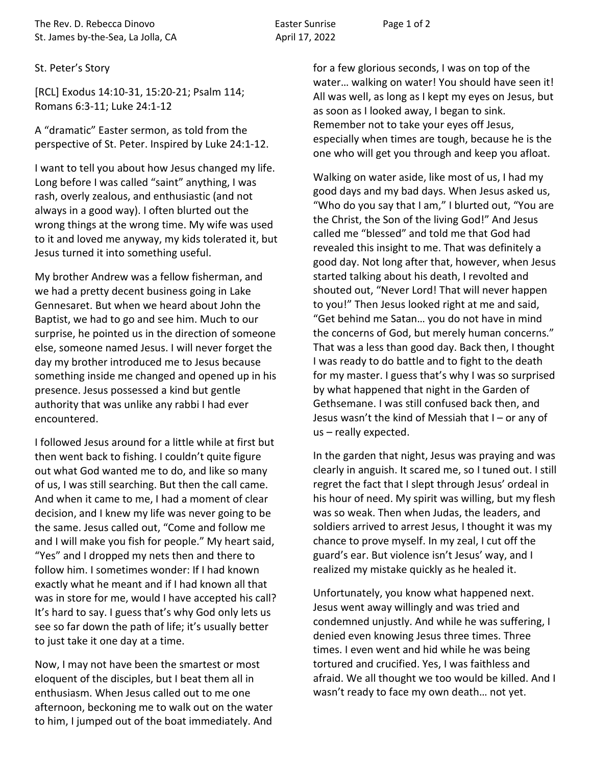The Rev. D. Rebecca Dinovo **Easter Sunrise** Page 1 of 2 St. James by-the-Sea, La Jolla, CA April 17, 2022

## St. Peter's Story

[RCL] Exodus 14:10-31, 15:20-21; Psalm 114; Romans 6:3-11; Luke 24:1-12

A "dramatic" Easter sermon, as told from the perspective of St. Peter. Inspired by Luke 24:1-12.

I want to tell you about how Jesus changed my life. Long before I was called "saint" anything, I was rash, overly zealous, and enthusiastic (and not always in a good way). I often blurted out the wrong things at the wrong time. My wife was used to it and loved me anyway, my kids tolerated it, but Jesus turned it into something useful.

My brother Andrew was a fellow fisherman, and we had a pretty decent business going in Lake Gennesaret. But when we heard about John the Baptist, we had to go and see him. Much to our surprise, he pointed us in the direction of someone else, someone named Jesus. I will never forget the day my brother introduced me to Jesus because something inside me changed and opened up in his presence. Jesus possessed a kind but gentle authority that was unlike any rabbi I had ever encountered.

I followed Jesus around for a little while at first but then went back to fishing. I couldn't quite figure out what God wanted me to do, and like so many of us, I was still searching. But then the call came. And when it came to me, I had a moment of clear decision, and I knew my life was never going to be the same. Jesus called out, "Come and follow me and I will make you fish for people." My heart said, "Yes" and I dropped my nets then and there to follow him. I sometimes wonder: If I had known exactly what he meant and if I had known all that was in store for me, would I have accepted his call? It's hard to say. I guess that's why God only lets us see so far down the path of life; it's usually better to just take it one day at a time.

Now, I may not have been the smartest or most eloquent of the disciples, but I beat them all in enthusiasm. When Jesus called out to me one afternoon, beckoning me to walk out on the water to him, I jumped out of the boat immediately. And

for a few glorious seconds, I was on top of the water… walking on water! You should have seen it! All was well, as long as I kept my eyes on Jesus, but as soon as I looked away, I began to sink. Remember not to take your eyes off Jesus, especially when times are tough, because he is the one who will get you through and keep you afloat.

Walking on water aside, like most of us, I had my good days and my bad days. When Jesus asked us, "Who do you say that I am," I blurted out, "You are the Christ, the Son of the living God!" And Jesus called me "blessed" and told me that God had revealed this insight to me. That was definitely a good day. Not long after that, however, when Jesus started talking about his death, I revolted and shouted out, "Never Lord! That will never happen to you!" Then Jesus looked right at me and said, "Get behind me Satan… you do not have in mind the concerns of God, but merely human concerns." That was a less than good day. Back then, I thought I was ready to do battle and to fight to the death for my master. I guess that's why I was so surprised by what happened that night in the Garden of Gethsemane. I was still confused back then, and Jesus wasn't the kind of Messiah that I – or any of us – really expected.

In the garden that night, Jesus was praying and was clearly in anguish. It scared me, so I tuned out. I still regret the fact that I slept through Jesus' ordeal in his hour of need. My spirit was willing, but my flesh was so weak. Then when Judas, the leaders, and soldiers arrived to arrest Jesus, I thought it was my chance to prove myself. In my zeal, I cut off the guard's ear. But violence isn't Jesus' way, and I realized my mistake quickly as he healed it.

Unfortunately, you know what happened next. Jesus went away willingly and was tried and condemned unjustly. And while he was suffering, I denied even knowing Jesus three times. Three times. I even went and hid while he was being tortured and crucified. Yes, I was faithless and afraid. We all thought we too would be killed. And I wasn't ready to face my own death… not yet.